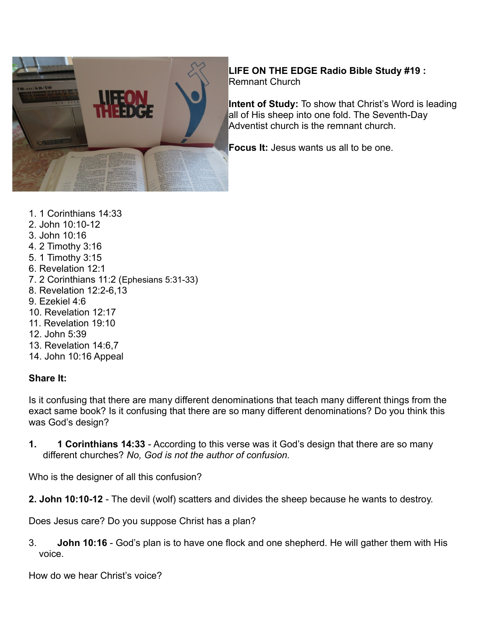

**LIFE ON THE EDGE Radio Bible Study #19 :**  Remnant Church

**Intent of Study:** To show that Christ's Word is leading all of His sheep into one fold. The Seventh-Day Adventist church is the remnant church.

**Focus It:** Jesus wants us all to be one.

1. 1 Corinthians 14:33 2. John 10:10-12 3. John 10:16 4. 2 Timothy 3:16 5. 1 Timothy 3:15 6. Revelation 12:1 7. 2 Corinthians 11:2 (Ephesians 5:31-33) 8. Revelation 12:2-6,13 9. Ezekiel 4:6 10. Revelation 12:17 11. Revelation 19:10 12. John 5:39 13. Revelation 14:6,7 14. John 10:16 Appeal

# **Share It:**

Is it confusing that there are many different denominations that teach many different things from the exact same book? Is it confusing that there are so many different denominations? Do you think this was God's design?

**1. 1 Corinthians 14:33** - According to this verse was it God's design that there are so many different churches? *No, God is not the author of confusion.*

Who is the designer of all this confusion?

**2. John 10:10-12** - The devil (wolf) scatters and divides the sheep because he wants to destroy.

Does Jesus care? Do you suppose Christ has a plan?

3. **John 10:16** - God's plan is to have one flock and one shepherd. He will gather them with His voice.

How do we hear Christ's voice?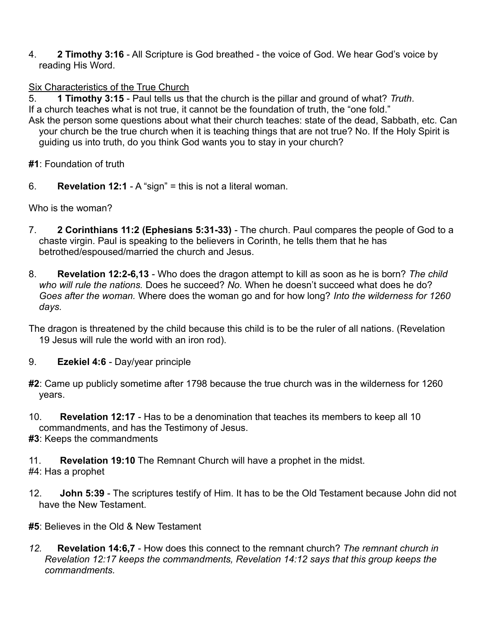4. **2 Timothy 3:16** - All Scripture is God breathed - the voice of God. We hear God's voice by reading His Word.

## Six Characteristics of the True Church

5. **1 Timothy 3:15** - Paul tells us that the church is the pillar and ground of what? *Truth*. If a church teaches what is not true, it cannot be the foundation of truth, the "one fold."

Ask the person some questions about what their church teaches: state of the dead, Sabbath, etc. Can your church be the true church when it is teaching things that are not true? No. If the Holy Spirit is guiding us into truth, do you think God wants you to stay in your church?

**#1**: Foundation of truth

6. **Revelation 12:1** - A "sign" = this is not a literal woman.

Who is the woman?

- 7. **2 Corinthians 11:2 (Ephesians 5:31-33)** The church. Paul compares the people of God to a chaste virgin. Paul is speaking to the believers in Corinth, he tells them that he has betrothed/espoused/married the church and Jesus.
- 8. **Revelation 12:2-6,13** Who does the dragon attempt to kill as soon as he is born? *The child who will rule the nations.* Does he succeed? *No.* When he doesn't succeed what does he do? *Goes after the woman.* Where does the woman go and for how long? *Into the wilderness for 1260 days.*

The dragon is threatened by the child because this child is to be the ruler of all nations. (Revelation 19 Jesus will rule the world with an iron rod).

- 9. **Ezekiel 4:6** Day/year principle
- **#2**: Came up publicly sometime after 1798 because the true church was in the wilderness for 1260 years.
- 10. **Revelation 12:17** Has to be a denomination that teaches its members to keep all 10 commandments, and has the Testimony of Jesus.

**#3**: Keeps the commandments

11. **Revelation 19:10** The Remnant Church will have a prophet in the midst. #4: Has a prophet

12. **John 5:39** - The scriptures testify of Him. It has to be the Old Testament because John did not have the New Testament.

**#5**: Believes in the Old & New Testament

*12.* **Revelation 14:6,7** - How does this connect to the remnant church? *The remnant church in Revelation 12:17 keeps the commandments, Revelation 14:12 says that this group keeps the commandments.*